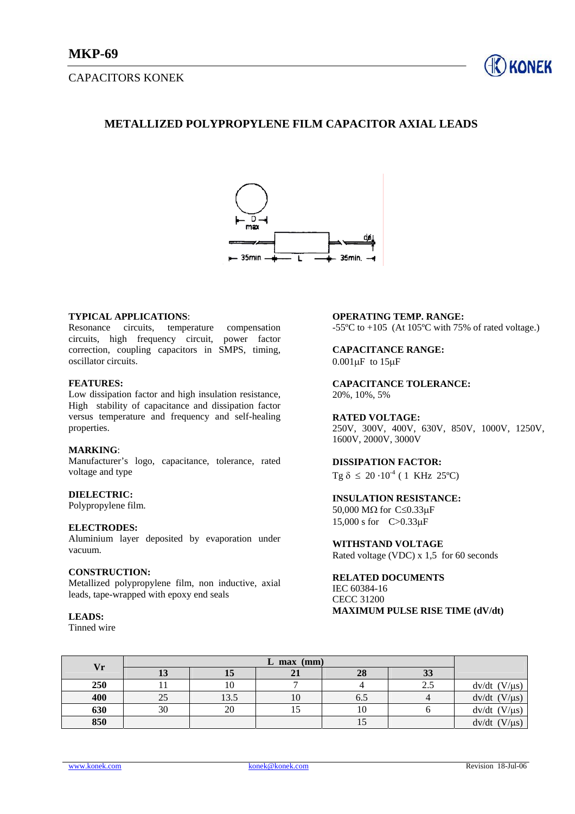## CAPACITORS KONEK



# **METALLIZED POLYPROPYLENE FILM CAPACITOR AXIAL LEADS**



## **TYPICAL APPLICATIONS**:

Resonance circuits, temperature compensation circuits, high frequency circuit, power factor correction, coupling capacitors in SMPS, timing, oscillator circuits.

### **FEATURES:**

Low dissipation factor and high insulation resistance, High stability of capacitance and dissipation factor versus temperature and frequency and self-healing properties.

## **MARKING**:

Manufacturer's logo, capacitance, tolerance, rated voltage and type

### **DIELECTRIC:**

Polypropylene film.

#### **ELECTRODES:**

Aluminium layer deposited by evaporation under vacuum.

## **CONSTRUCTION:**

Metallized polypropylene film, non inductive, axial leads, tape-wrapped with epoxy end seals

#### **LEADS:**

Tinned wire

## **OPERATING TEMP. RANGE:**

-55 $\degree$ C to +105 (At 105 $\degree$ C with 75% of rated voltage.)

## **CAPACITANCE RANGE:**   $0.001\mu F$  to  $15\mu F$

**CAPACITANCE TOLERANCE:**  20%, 10%, 5%

#### **RATED VOLTAGE:**

250V, 300V, 400V, 630V, 850V, 1000V, 1250V, 1600V, 2000V, 3000V

## **DISSIPATION FACTOR:**

Tg  $\delta \leq 20 \cdot 10^{-4}$  ( 1 KHz 25°C)

## **INSULATION RESISTANCE:**

50,000 MΩ for C≤0.33µF 15,000 s for C>0.33µF

## **WITHSTAND VOLTAGE**

Rated voltage (VDC) x 1,5 for 60 seconds

## **RELATED DOCUMENTS**  IEC 60384-16 CECC 31200

**MAXIMUM PULSE RISE TIME (dV/dt)** 

| Vr  |    |      |    |     |                |                       |
|-----|----|------|----|-----|----------------|-----------------------|
|     | ıυ | 15   | 41 | 28  | $\mathfrak{D}$ |                       |
| 250 |    | 10   |    |     | 2.5            | $dv/dt$ (V/ $\mu s$ ) |
| 400 | 25 | 13.5 | 10 | 6.O |                | $dv/dt$ (V/ $\mu s$ ) |
| 630 | 30 | 20   |    | 10  |                | $dv/dt$ (V/ $\mu s$ ) |
| 850 |    |      |    | IJ  |                | $dv/dt$ (V/ $\mu s$ ) |